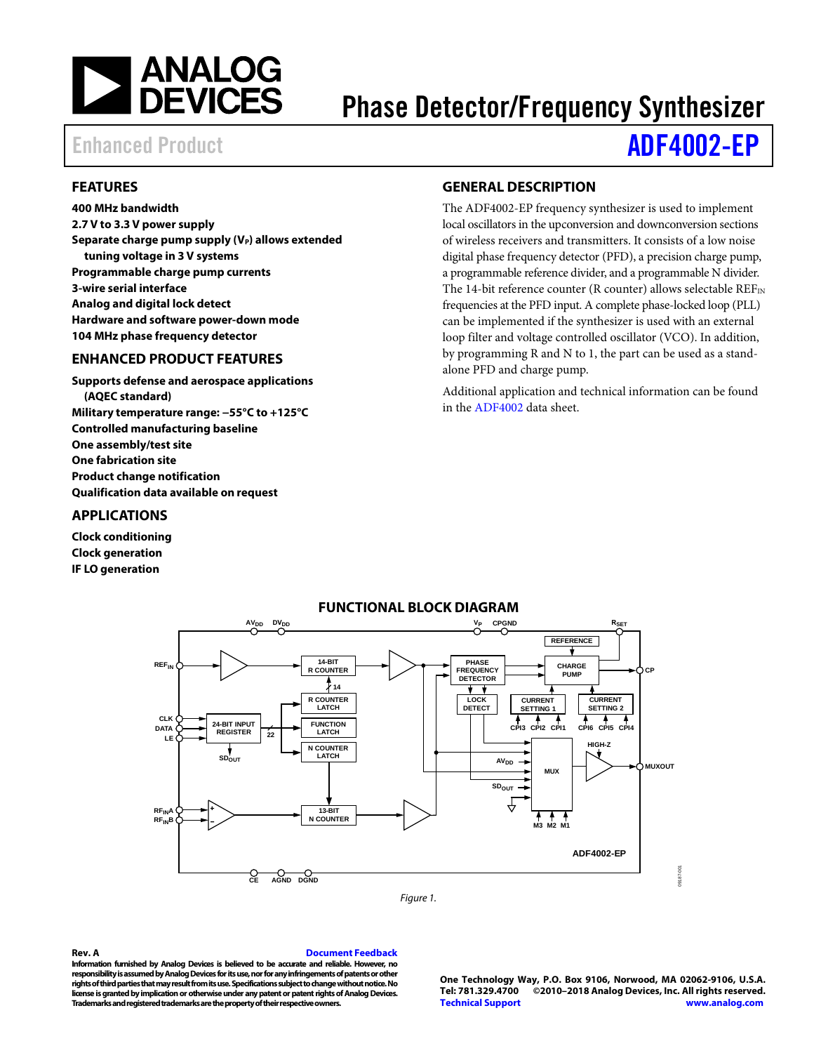

# Phase Detector/Frequency Synthesizer

# Enhanced Product **[ADF4002-EP](http://www.analog.com/ADF4002)**

### <span id="page-0-0"></span>**FEATURES**

**400 MHz bandwidth 2.7 V to 3.3 V power supply** Separate charge pump supply (V<sub>P</sub>) allows extended **tuning voltage in 3 V systems Programmable charge pump currents 3-wire serial interface Analog and digital lock detect Hardware and software power-down mode 104 MHz phase frequency detector**

### <span id="page-0-1"></span>**ENHANCED PRODUCT FEATURES**

**Supports defense and aerospace applications (AQEC standard) Military temperature range: −55°C to +125°C Controlled manufacturing baseline One assembly/test site One fabrication site Product change notification Qualification data available on request**

### <span id="page-0-2"></span>**APPLICATIONS**

<span id="page-0-4"></span>**Clock conditioning Clock generation IF LO generation**

## <span id="page-0-3"></span>**GENERAL DESCRIPTION**

The ADF4002-EP frequency synthesizer is used to implement local oscillators in the upconversion and downconversion sections of wireless receivers and transmitters. It consists of a low noise digital phase frequency detector (PFD), a precision charge pump, a programmable reference divider, and a programmable N divider. The 14-bit reference counter (R counter) allows selectable  $REF_{IN}$ frequencies at the PFD input. A complete phase-locked loop (PLL) can be implemented if the synthesizer is used with an external loop filter and voltage controlled oscillator (VCO). In addition, by programming R and N to 1, the part can be used as a standalone PFD and charge pump.

Additional application and technical information can be found in the [ADF4002](http://www.analog.com/ADF4002) data sheet.



### **FUNCTIONAL BLOCK DIAGRAM**

*Figure 1.* 

#### **Rev. A [Document Feedback](https://form.analog.com/Form_Pages/feedback/documentfeedback.aspx?doc=ADF4002-EP.pdf&product=ADF4002-EP&rev=A)**

**Information furnished by Analog Devices is believed to be accurate and reliable. However, no responsibility is assumed by Analog Devices for its use, nor for any infringements of patents or other rights of third parties that may result from its use. Specifications subject to change without notice. No license is granted by implication or otherwise under any patent or patent rights of Analog Devices. Trademarks and registered trademarks are the property of their respective owners.**

**One Technology Way, P.O. Box 9106, Norwood, MA 02062-9106, U.S.A. Tel: 781.329.4700 ©2010–2018 Analog Devices, Inc. All rights reserved. [Technical Support](http://www.analog.com/en/content/technical_support_page/fca.html) [www.analog.com](http://www.analog.com/)**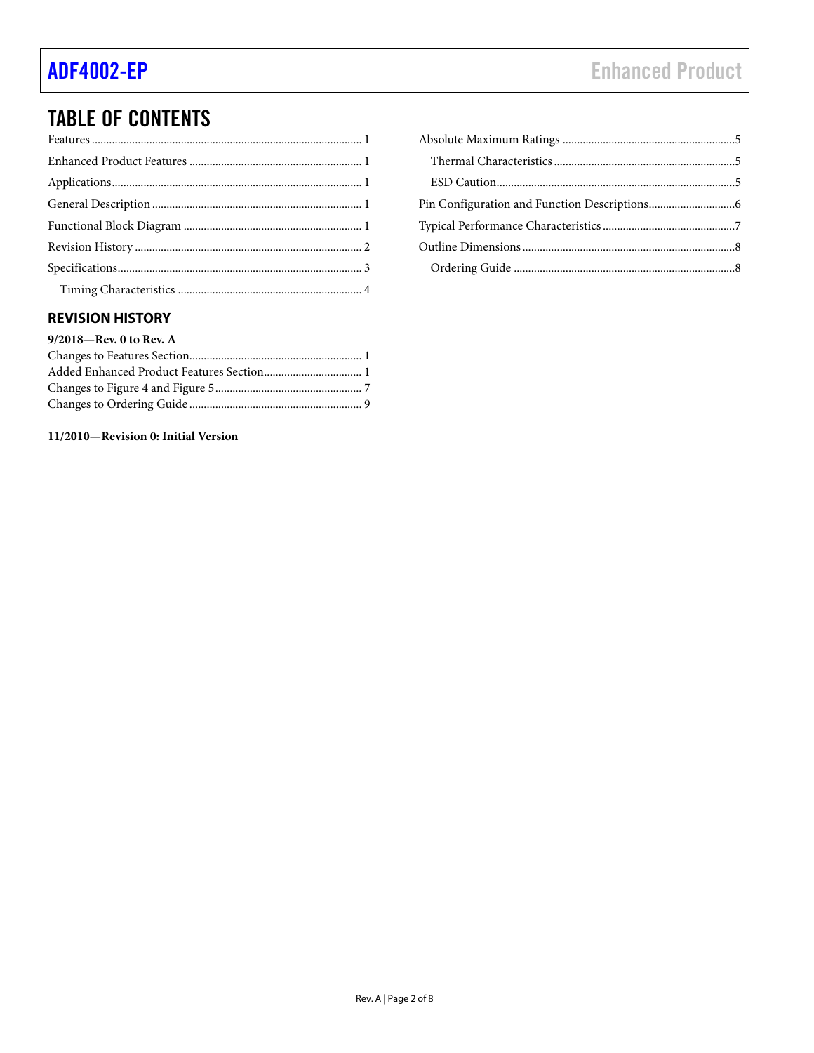# **TABLE OF CONTENTS**

## <span id="page-1-0"></span>**REVISION HISTORY**

### 9/2018-Rev. 0 to Rev. A

### 11/2010-Revision 0: Initial Version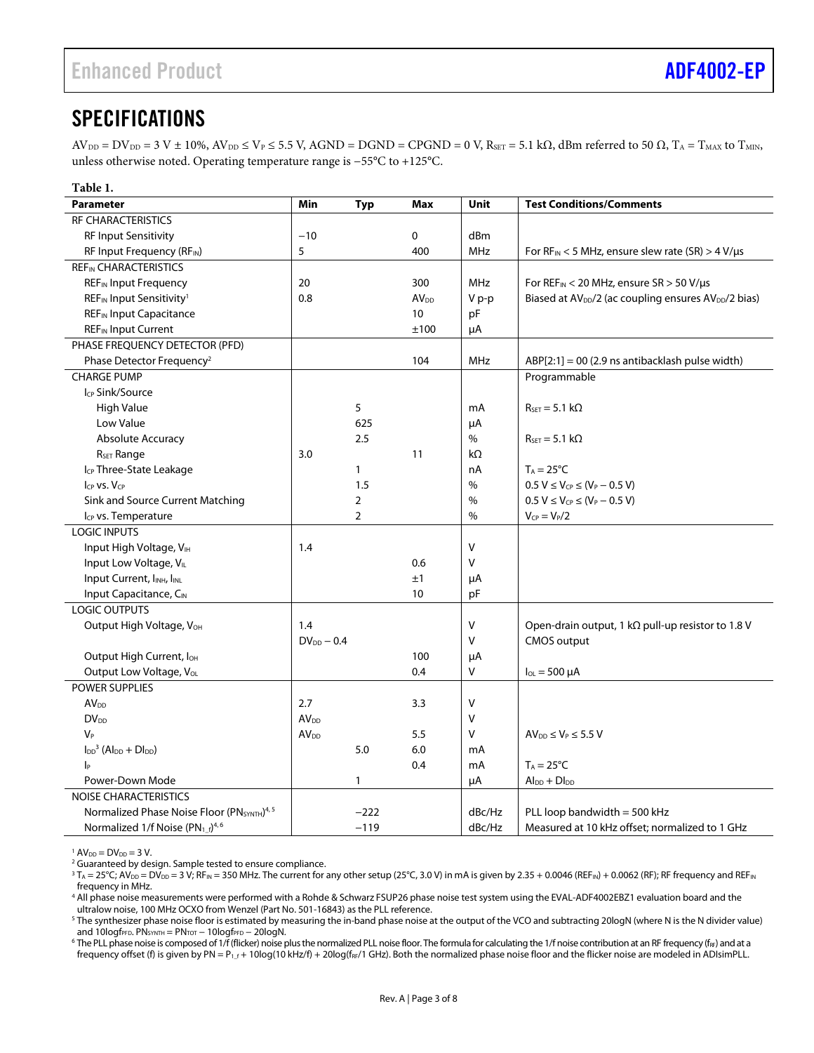# <span id="page-2-0"></span>**SPECIFICATIONS**

 $AV_{DD} = DV_{DD} = 3 V \pm 10\%, AV_{DD} \le V_P \le 5.5 V$ , AGND = DGND = CPGND = 0 V, R<sub>SET</sub> = 5.1 kΩ, dBm referred to 50  $\Omega$ , T<sub>A</sub> = T<sub>MAX</sub> to T<sub>MIN</sub>, unless otherwise noted. Operating temperature range is −55°C to +125°C.

| Table 1.                                                     |                    |                |                  |             |                                                                              |
|--------------------------------------------------------------|--------------------|----------------|------------------|-------------|------------------------------------------------------------------------------|
| <b>Parameter</b>                                             | Min                | <b>Typ</b>     | Max              | <b>Unit</b> | <b>Test Conditions/Comments</b>                                              |
| <b>RF CHARACTERISTICS</b>                                    |                    |                |                  |             |                                                                              |
| <b>RF Input Sensitivity</b>                                  | $-10$              |                | 0                | dBm         |                                                                              |
| RF Input Frequency (RFIN)                                    | 5                  |                | 400              | <b>MHz</b>  | For $RF_{IN}$ < 5 MHz, ensure slew rate (SR) > 4 V/µs                        |
| <b>REFIN CHARACTERISTICS</b>                                 |                    |                |                  |             |                                                                              |
| <b>REF<sub>IN</sub></b> Input Frequency                      | 20                 |                | 300              | MHz         | For REF <sub>IN</sub> < 20 MHz, ensure SR > 50 V/µs                          |
| REF <sub>IN</sub> Input Sensitivity <sup>1</sup>             | 0.8                |                | AV <sub>DD</sub> | V p-p       | Biased at AV <sub>DD</sub> /2 (ac coupling ensures AV <sub>DD</sub> /2 bias) |
| <b>REF<sub>IN</sub></b> Input Capacitance                    |                    |                | 10               | pF          |                                                                              |
| <b>REF<sub>IN</sub></b> Input Current                        |                    |                | ±100             | μA          |                                                                              |
| PHASE FREQUENCY DETECTOR (PFD)                               |                    |                |                  |             |                                                                              |
| Phase Detector Frequency <sup>2</sup>                        |                    |                | 104              | <b>MHz</b>  | $ABP[2:1] = 00$ (2.9 ns antibacklash pulse width)                            |
| <b>CHARGE PUMP</b>                                           |                    |                |                  |             | Programmable                                                                 |
| Icp Sink/Source                                              |                    |                |                  |             |                                                                              |
| <b>High Value</b>                                            |                    | 5              |                  | mA          | $R_{SET} = 5.1 k\Omega$                                                      |
| Low Value                                                    |                    | 625            |                  | μA          |                                                                              |
| <b>Absolute Accuracy</b>                                     |                    | 2.5            |                  | $\%$        | $R_{\text{SET}} = 5.1 \text{ k}\Omega$                                       |
| R <sub>SET</sub> Range                                       | 3.0                |                | 11               | $k\Omega$   |                                                                              |
| Icp Three-State Leakage                                      |                    | $\mathbf{1}$   |                  | nA          | $T_A = 25^{\circ}C$                                                          |
| ICP VS. VCP                                                  |                    | 1.5            |                  | $\%$        | $0.5 V \le V_{CP} \le (V_P - 0.5 V)$                                         |
| Sink and Source Current Matching                             |                    | $\overline{2}$ |                  | $\%$        | $0.5 V \le V_{CP} \le (V_P - 0.5 V)$                                         |
| I <sub>CP</sub> vs. Temperature                              |                    | $\overline{2}$ |                  | $\%$        | $V_{CP} = V_P/2$                                                             |
| <b>LOGIC INPUTS</b>                                          |                    |                |                  |             |                                                                              |
| Input High Voltage, VIH                                      | 1.4                |                |                  | V           |                                                                              |
| Input Low Voltage, VIL                                       |                    |                | 0.6              | V           |                                                                              |
| Input Current, I <sub>INH</sub> , I <sub>INL</sub>           |                    |                | ±1               | μA          |                                                                              |
| Input Capacitance, CIN                                       |                    |                | 10               | pF          |                                                                              |
| <b>LOGIC OUTPUTS</b>                                         |                    |                |                  |             |                                                                              |
| Output High Voltage, V <sub>OH</sub>                         | 1.4                |                |                  | V           | Open-drain output, 1 k $\Omega$ pull-up resistor to 1.8 V                    |
|                                                              | $DV_{DD} - 0.4$    |                |                  | V           | <b>CMOS</b> output                                                           |
| Output High Current, loH                                     |                    |                | 100              | μA          |                                                                              |
| Output Low Voltage, VoL                                      |                    |                | 0.4              | v           | $I_{OL}$ = 500 $\mu$ A                                                       |
| <b>POWER SUPPLIES</b>                                        |                    |                |                  |             |                                                                              |
| AV <sub>DD</sub>                                             | 2.7                |                | 3.3              | ٧           |                                                                              |
| $DV_{DD}$                                                    | AV <sub>DD</sub>   |                |                  | V           |                                                                              |
| V <sub>P</sub>                                               | $\mathsf{AV_{DD}}$ |                | 5.5              | V           | $AV_{DD} \leq V_P \leq 5.5 V$                                                |
| $I_{DD}$ <sup>3</sup> (Al <sub>DD</sub> + Dl <sub>DD</sub> ) |                    | 5.0            | 6.0              | mA          |                                                                              |
| Iр                                                           |                    |                | 0.4              | mA          | $T_A = 25^{\circ}C$                                                          |
| Power-Down Mode                                              |                    | $\mathbf{1}$   |                  | μA          | $Al_{DD} + DI_{DD}$                                                          |
| <b>NOISE CHARACTERISTICS</b>                                 |                    |                |                  |             |                                                                              |
| Normalized Phase Noise Floor (PNSYNTH) <sup>4, 5</sup>       |                    | $-222$         |                  | dBc/Hz      | PLL loop bandwidth = 500 kHz                                                 |
| Normalized 1/f Noise (PN <sub>1_f</sub> ) <sup>4,6</sup>     |                    | $-119$         |                  | dBc/Hz      | Measured at 10 kHz offset; normalized to 1 GHz                               |

 $1$  AV<sub>DD</sub> = DV<sub>DD</sub> = 3 V.

<sup>6</sup> The PLL phase noise is composed of 1/f (flicker) noise plus the normalized PLL noise floor. The formula for calculating the 1/f noise contribution at an RF frequency (f<sub>RF</sub>) and at a frequency offset (f) is given by PN = P<sub>1\_f</sub> + 10log(10 kHz/f) + 20log(f<sub>RF</sub>/1 GHz). Both the normalized phase noise floor and the flicker noise are modeled in ADIsimPLL.

<sup>&</sup>lt;sup>2</sup> Guaranteed by design. Sample tested to ensure compliance.

 $^3$  T $_{\rm A}$  = 25°C; AV $_{\rm DD}$  =  $\rm D V_{\rm DD}$  = 3 V; RF $_{\rm IN}$  = 350 MHz. The current for any other setup (25°C, 3.0 V) in mA is given by 2.35 + 0.0046 (REF $_{\rm IN}$ ) + 0.0062 (RF); RF frequency and REF $_{\rm IN}$ frequency in MHz.

<sup>4</sup> All phase noise measurements were performed with a Rohde & Schwarz FSUP26 phase noise test system using the EVAL-ADF4002EBZ1 evaluation board and the ultralow noise, 100 MHz OCXO from Wenzel (Part No. 501-16843) as the PLL reference.

<sup>&</sup>lt;sup>5</sup> The synthesizer phase noise floor is estimated by measuring the in-band phase noise at the output of the VCO and subtracting 20logN (where N is the N divider value) and 10logf $PFD$ . PN<sub>SYNTH</sub> = PN<sub>TOT</sub> - 10logf $PFD - 20$ logN.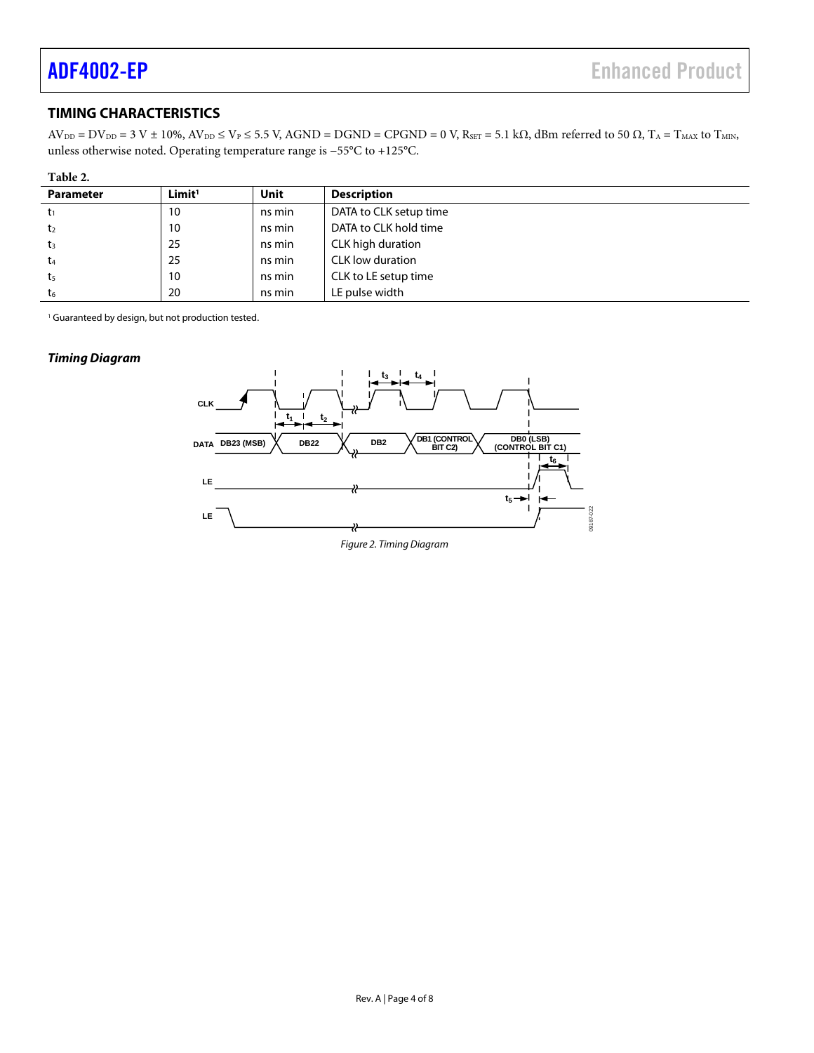## <span id="page-3-0"></span>**TIMING CHARACTERISTICS**

 $AV_{DD} = DV_{DD} = 3 V \pm 10\%, AV_{DD} \leq V_P \leq 5.5 V, AGND = DGND = CPGND = 0 V, R<sub>SET</sub> = 5.1 kΩ, dBm referred to 50 Ω, T<sub>A</sub> = T<sub>MAX</sub> to T<sub>MIN</sub>,$ unless otherwise noted. Operating temperature range is −55°C to +125°C.

| me |
|----|
|    |

| ------           |                    |        |                         |
|------------------|--------------------|--------|-------------------------|
| <b>Parameter</b> | Limit <sup>1</sup> | Unit   | <b>Description</b>      |
| t,               | 10                 | ns min | DATA to CLK setup time  |
| t2               | 10                 | ns min | DATA to CLK hold time   |
| $t_3$            | 25                 | ns min | CLK high duration       |
| t <sub>4</sub>   | 25                 | ns min | <b>CLK</b> low duration |
| t5               | 10                 | ns min | CLK to LE setup time    |
| t <sub>6</sub>   | 20                 | ns min | LE pulse width          |

<sup>1</sup> Guaranteed by design, but not production tested.

#### *Timing Diagram*

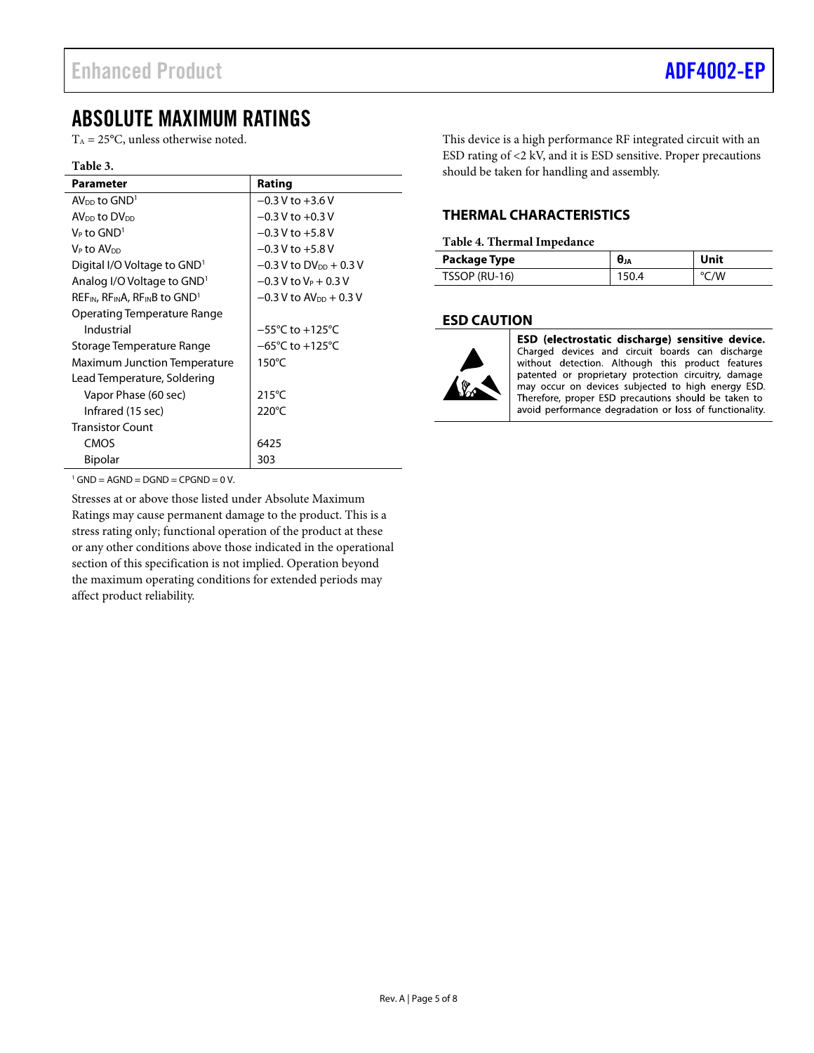# <span id="page-4-0"></span>ABSOLUTE MAXIMUM RATINGS

 $T_A = 25$ °C, unless otherwise noted.

#### **Table 3.**

| <b>Parameter</b>                                                        | Rating                               |
|-------------------------------------------------------------------------|--------------------------------------|
| $AV_{DD}$ to $GND1$                                                     | $-0.3$ V to $+3.6$ V                 |
| AV <sub>DD</sub> to DV <sub>DD</sub>                                    | $-0.3$ V to $+0.3$ V                 |
| $V_P$ to $GND^1$                                                        | $-0.3$ V to $+5.8$ V                 |
| Ve to AVon                                                              | $-0.3$ V to $+5.8$ V                 |
| Digital I/O Voltage to GND <sup>1</sup>                                 | $-0.3$ V to DV <sub>DD</sub> + 0.3 V |
| Analog I/O Voltage to GND <sup>1</sup>                                  | $-0.3$ V to V <sub>P</sub> + 0.3 V   |
| $REF_{IN}$ , RF <sub>IN</sub> A, RF <sub>IN</sub> B to GND <sup>1</sup> | $-0.3$ V to AV <sub>DD</sub> + 0.3 V |
| Operating Temperature Range                                             |                                      |
| Industrial                                                              | $-55^{\circ}$ C to $+125^{\circ}$ C  |
| Storage Temperature Range                                               | $-65^{\circ}$ C to $+125^{\circ}$ C  |
| <b>Maximum Junction Temperature</b>                                     | $150^{\circ}$ C                      |
| Lead Temperature, Soldering                                             |                                      |
| Vapor Phase (60 sec)                                                    | $215^{\circ}$ C                      |
| Infrared (15 sec)                                                       | $220^{\circ}$ C                      |
| <b>Transistor Count</b>                                                 |                                      |
| CMOS                                                                    | 6425                                 |
| <b>Bipolar</b>                                                          | 303                                  |

This device is a high performance RF integrated circuit with an ESD rating of <2 kV, and it is ESD sensitive. Proper precautions should be taken for handling and assembly.

## <span id="page-4-1"></span>**THERMAL CHARACTERISTICS**

#### **Table 4. Thermal Impedance**

| Package Type  | <b>U</b> JA | Unit |
|---------------|-------------|------|
| TSSOP (RU-16) | 150.4       | °C/W |

### <span id="page-4-2"></span>**ESD CAUTION**



ESD (electrostatic discharge) sensitive device. Charged devices and circuit boards can discharge without detection. Although this product features patented or proprietary protection circuitry, damage may occur on devices subjected to high energy ESD. Therefore, proper ESD precautions should be taken to avoid performance degradation or loss of functionality.

 $1$  GND = AGND = DGND = CPGND = 0 V.

Stresses at or above those listed under Absolute Maximum Ratings may cause permanent damage to the product. This is a stress rating only; functional operation of the product at these or any other conditions above those indicated in the operational section of this specification is not implied. Operation beyond the maximum operating conditions for extended periods may affect product reliability.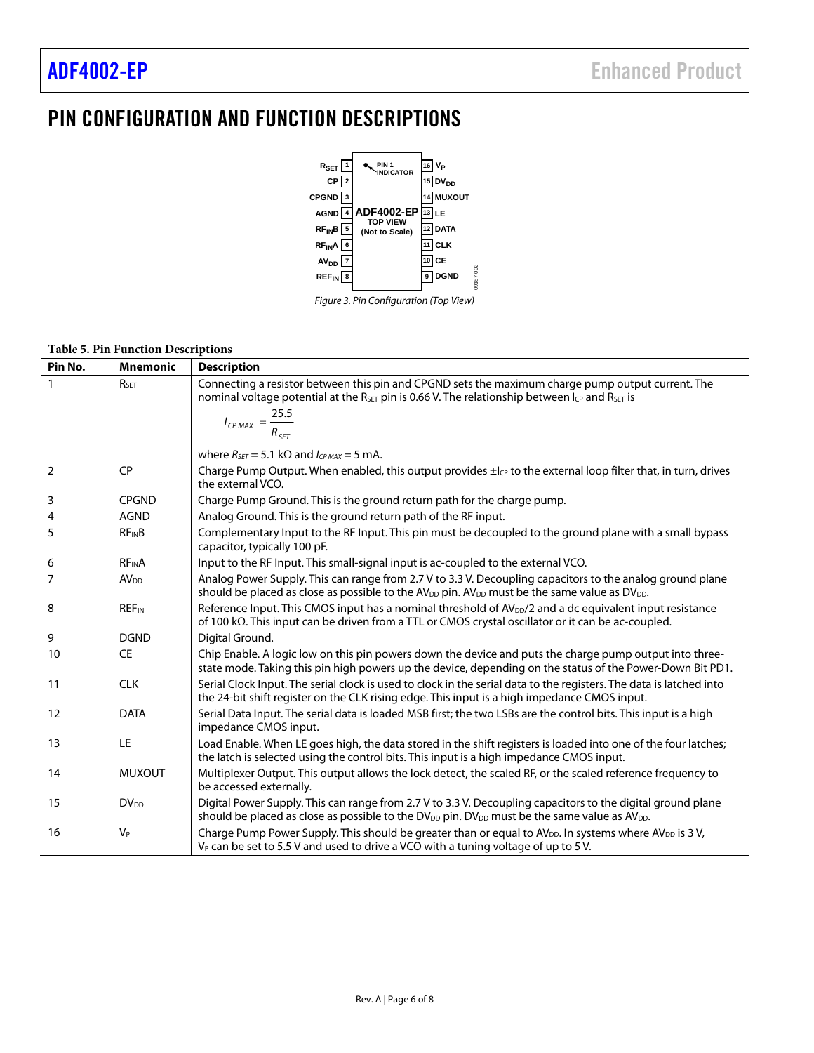$\overline{\phantom{0}}$ 

# <span id="page-5-0"></span>PIN CONFIGURATION AND FUNCTION DESCRIPTIONS





#### **Table 5. Pin Function Descriptions**

| Pin No.        | <b>Mnemonic</b>         | <b>Description</b>                                                                                                                                                                                                                              |
|----------------|-------------------------|-------------------------------------------------------------------------------------------------------------------------------------------------------------------------------------------------------------------------------------------------|
|                | R <sub>SET</sub>        | Connecting a resistor between this pin and CPGND sets the maximum charge pump output current. The<br>nominal voltage potential at the R <sub>SET</sub> pin is 0.66 V. The relationship between Icp and R <sub>SET</sub> is                      |
|                |                         | $I_{CPMAX} = \frac{25.5}{R_{SET}}$                                                                                                                                                                                                              |
|                |                         | where $R_{\text{SFT}} = 5.1 \text{ k}\Omega$ and $I_{CPMAX} = 5 \text{ mA}$ .                                                                                                                                                                   |
| $\overline{2}$ | <b>CP</b>               | Charge Pump Output. When enabled, this output provides $\pm l_{CP}$ to the external loop filter that, in turn, drives<br>the external VCO.                                                                                                      |
| 3              | <b>CPGND</b>            | Charge Pump Ground. This is the ground return path for the charge pump.                                                                                                                                                                         |
| 4              | <b>AGND</b>             | Analog Ground. This is the ground return path of the RF input.                                                                                                                                                                                  |
| 5              | <b>RFINB</b>            | Complementary Input to the RF Input. This pin must be decoupled to the ground plane with a small bypass<br>capacitor, typically 100 pF.                                                                                                         |
| 6              | <b>RF<sub>IN</sub>A</b> | Input to the RF Input. This small-signal input is ac-coupled to the external VCO.                                                                                                                                                               |
| 7              | AV <sub>DD</sub>        | Analog Power Supply. This can range from 2.7 V to 3.3 V. Decoupling capacitors to the analog ground plane<br>should be placed as close as possible to the AV <sub>DD</sub> pin. AV <sub>DD</sub> must be the same value as DV <sub>DD</sub> .   |
| 8              | <b>REF<sub>IN</sub></b> | Reference Input. This CMOS input has a nominal threshold of $AV_{DD}/2$ and a dc equivalent input resistance<br>of 100 $k\Omega$ . This input can be driven from a TTL or CMOS crystal oscillator or it can be ac-coupled.                      |
| 9              | <b>DGND</b>             | Digital Ground.                                                                                                                                                                                                                                 |
| 10             | <b>CE</b>               | Chip Enable. A logic low on this pin powers down the device and puts the charge pump output into three-<br>state mode. Taking this pin high powers up the device, depending on the status of the Power-Down Bit PD1.                            |
| 11             | <b>CLK</b>              | Serial Clock Input. The serial clock is used to clock in the serial data to the registers. The data is latched into<br>the 24-bit shift register on the CLK rising edge. This input is a high impedance CMOS input.                             |
| 12             | <b>DATA</b>             | Serial Data Input. The serial data is loaded MSB first; the two LSBs are the control bits. This input is a high<br>impedance CMOS input.                                                                                                        |
| 13             | LE                      | Load Enable. When LE goes high, the data stored in the shift registers is loaded into one of the four latches;<br>the latch is selected using the control bits. This input is a high impedance CMOS input.                                      |
| 14             | <b>MUXOUT</b>           | Multiplexer Output. This output allows the lock detect, the scaled RF, or the scaled reference frequency to<br>be accessed externally.                                                                                                          |
| 15             | $DV_{DD}$               | Digital Power Supply. This can range from 2.7 V to 3.3 V. Decoupling capacitors to the digital ground plane<br>should be placed as close as possible to the DV <sub>DD</sub> pin. DV <sub>DD</sub> must be the same value as AV <sub>DD</sub> . |
| 16             | $V_P$                   | Charge Pump Power Supply. This should be greater than or equal to AV <sub>DD</sub> . In systems where AV <sub>DD</sub> is 3V,<br>$V_P$ can be set to 5.5 V and used to drive a VCO with a tuning voltage of up to 5 V.                          |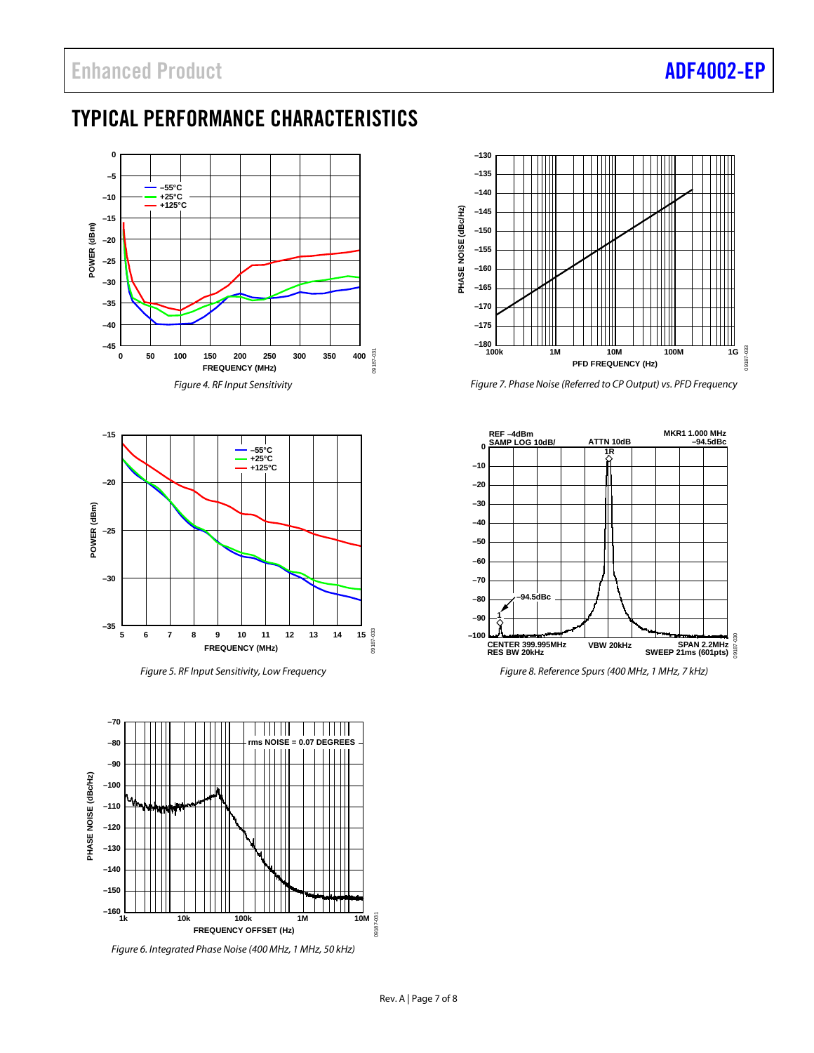# <span id="page-6-0"></span>TYPICAL PERFORMANCE CHARACTERISTICS





*Figure 5. RF Input Sensitivity, Low Frequency*



*Figure 6. Integrated Phase Noise (400 MHz, 1 MHz, 50 kHz)*



*Figure 7. Phase Noise (Referred to CP Output) vs. PFD Frequency*



*Figure 8. Reference Spurs (400 MHz, 1 MHz, 7 kHz)*